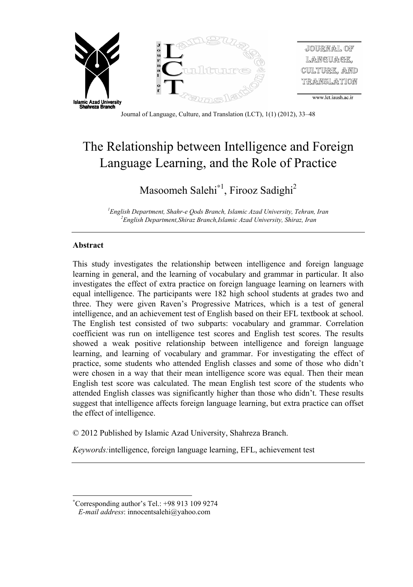

Journal of Language, Culture, and Translation (LCT), 1(1) (2012), 33–48

# The Relationship between Intelligence and Foreign Language Learning, and the Role of Practice

## Masoomeh Salehi<sup>\*1</sup>, Firooz Sadighi<sup>2</sup>

<sup>1</sup>English Department, Shahr-e Oods Branch, Islamic Azad University, Tehran, Iran <sup>2</sup> English Department, Shiraz Branch, Islamic Azad University, Shiraz, Iran

## **Abstract**

 $\overline{a}$ 

This study investigates the relationship between intelligence and foreign language learning in general, and the learning of vocabulary and grammar in particular. It also investigates the effect of extra practice on foreign language learning on learners with equal intelligence. The participants were 182 high school students at grades two and three. They were given Raven's Progressive Matrices, which is a test of general intelligence, and an achievement test of English based on their EFL textbook at school. The English test consisted of two subparts: vocabulary and grammar. Correlation coefficient was run on intelligence test scores and English test scores. The results showed a weak positive relationship between intelligence and foreign language learning, and learning of vocabulary and grammar. For investigating the effect of practice, some students who attended English classes and some of those who didn't were chosen in a way that their mean intelligence score was equal. Then their mean English test score was calculated. The mean English test score of the students who attended English classes was significantly higher than those who didn't. These results suggest that intelligence affects foreign language learning, but extra practice can offset the effect of intelligence.

© 2012 Published by Islamic Azad University, Shahreza Branch.

*Keywords:*intelligence, foreign language learning, EFL, achievement test

Corresponding author's Tel.: +98 913 109 9274

*E-mail address*: innocentsalehi@yahoo.com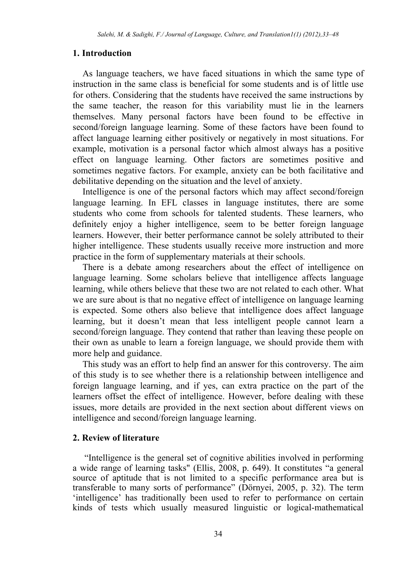#### **1. Introduction**

As language teachers, we have faced situations in which the same type of instruction in the same class is beneficial for some students and is of little use for others. Considering that the students have received the same instructions by the same teacher, the reason for this variability must lie in the learners themselves. Many personal factors have been found to be effective in second/foreign language learning. Some of these factors have been found to affect language learning either positively or negatively in most situations. For example, motivation is a personal factor which almost always has a positive effect on language learning. Other factors are sometimes positive and sometimes negative factors. For example, anxiety can be both facilitative and debilitative depending on the situation and the level of anxiety.

Intelligence is one of the personal factors which may affect second/foreign language learning. In EFL classes in language institutes, there are some students who come from schools for talented students. These learners, who definitely enjoy a higher intelligence, seem to be better foreign language learners. However, their better performance cannot be solely attributed to their higher intelligence. These students usually receive more instruction and more practice in the form of supplementary materials at their schools.

There is a debate among researchers about the effect of intelligence on language learning. Some scholars believe that intelligence affects language learning, while others believe that these two are not related to each other. What we are sure about is that no negative effect of intelligence on language learning is expected. Some others also believe that intelligence does affect language learning, but it doesn't mean that less intelligent people cannot learn a second/foreign language. They contend that rather than leaving these people on their own as unable to learn a foreign language, we should provide them with more help and guidance.

This study was an effort to help find an answer for this controversy. The aim of this study is to see whether there is a relationship between intelligence and foreign language learning, and if yes, can extra practice on the part of the learners offset the effect of intelligence. However, before dealing with these issues, more details are provided in the next section about different views on intelligence and second/foreign language learning.

## **2. Review of literature**

"Intelligence is the general set of cognitive abilities involved in performing a wide range of learning tasks" (Ellis, 2008, p. 649). It constitutes "a general source of aptitude that is not limited to a specific performance area but is transferable to many sorts of performance" (Dörnyei, 2005, p. 32). The term 'intelligence' has traditionally been used to refer to performance on certain kinds of tests which usually measured linguistic or logical-mathematical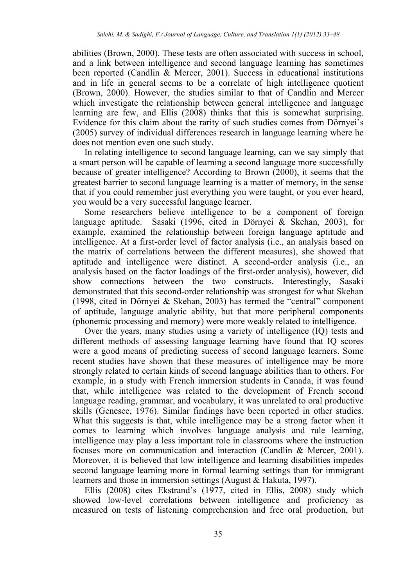abilities (Brown, 2000). These tests are often associated with success in school, and a link between intelligence and second language learning has sometimes been reported (Candlin & Mercer, 2001). Success in educational institutions and in life in general seems to be a correlate of high intelligence quotient (Brown, 2000). However, the studies similar to that of Candlin and Mercer which investigate the relationship between general intelligence and language learning are few, and Ellis (2008) thinks that this is somewhat surprising. Evidence for this claim about the rarity of such studies comes from Dörnyei's (2005) survey of individual differences research in language learning where he does not mention even one such study.

In relating intelligence to second language learning, can we say simply that a smart person will be capable of learning a second language more successfully because of greater intelligence? According to Brown (2000), it seems that the greatest barrier to second language learning is a matter of memory, in the sense that if you could remember just everything you were taught, or you ever heard, you would be a very successful language learner.

Some researchers believe intelligence to be a component of foreign language aptitude. Sasaki (1996, cited in Dörnyei & Skehan, 2003), for example, examined the relationship between foreign language aptitude and intelligence. At a first-order level of factor analysis (i.e., an analysis based on the matrix of correlations between the different measures), she showed that aptitude and intelligence were distinct. A second-order analysis (i.e., an analysis based on the factor loadings of the first-order analysis), however, did show connections between the two constructs. Interestingly, Sasaki demonstrated that this second-order relationship was strongest for what Skehan (1998, cited in Dörnyei & Skehan, 2003) has termed the "central" component of aptitude, language analytic ability, but that more peripheral components (phonemic processing and memory) were more weakly related to intelligence.

Over the years, many studies using a variety of intelligence (IQ) tests and different methods of assessing language learning have found that IQ scores were a good means of predicting success of second language learners. Some recent studies have shown that these measures of intelligence may be more strongly related to certain kinds of second language abilities than to others. For example, in a study with French immersion students in Canada, it was found that, while intelligence was related to the development of French second language reading, grammar, and vocabulary, it was unrelated to oral productive skills (Genesee, 1976). Similar findings have been reported in other studies. What this suggests is that, while intelligence may be a strong factor when it comes to learning which involves language analysis and rule learning, intelligence may play a less important role in classrooms where the instruction focuses more on communication and interaction (Candlin & Mercer, 2001). Moreover, it is believed that low intelligence and learning disabilities impedes second language learning more in formal learning settings than for immigrant learners and those in immersion settings (August & Hakuta, 1997).

Ellis (2008) cites Ekstrand's (1977, cited in Ellis, 2008) study which showed low-level correlations between intelligence and proficiency as measured on tests of listening comprehension and free oral production, but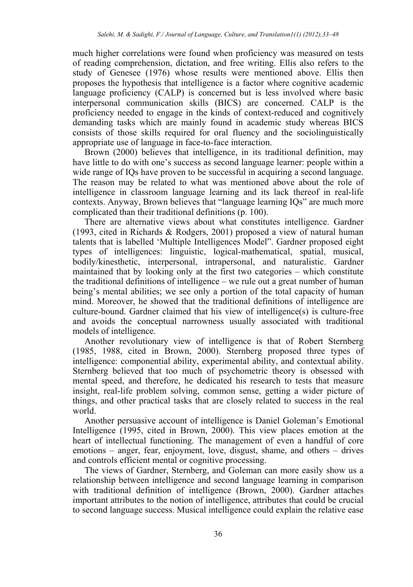much higher correlations were found when proficiency was measured on tests of reading comprehension, dictation, and free writing. Ellis also refers to the study of Genesee (1976) whose results were mentioned above. Ellis then proposes the hypothesis that intelligence is a factor where cognitive academic language proficiency (CALP) is concerned but is less involved where basic interpersonal communication skills (BICS) are concerned. CALP is the proficiency needed to engage in the kinds of context-reduced and cognitively demanding tasks which are mainly found in academic study whereas BICS consists of those skills required for oral fluency and the sociolinguistically appropriate use of language in face-to-face interaction.

Brown (2000) believes that intelligence, in its traditional definition, may have little to do with one's success as second language learner: people within a wide range of IQs have proven to be successful in acquiring a second language. The reason may be related to what was mentioned above about the role of intelligence in classroom language learning and its lack thereof in real-life contexts. Anyway, Brown believes that "language learning IQs" are much more complicated than their traditional definitions (p. 100).

There are alternative views about what constitutes intelligence. Gardner (1993, cited in Richards & Rodgers, 2001) proposed a view of natural human talents that is labelled 'Multiple Intelligences Model". Gardner proposed eight types of intelligences: linguistic, logical-mathematical, spatial, musical, bodily/kinesthetic, interpersonal, intrapersonal, and naturalistic. Gardner maintained that by looking only at the first two categories – which constitute the traditional definitions of intelligence – we rule out a great number of human being's mental abilities; we see only a portion of the total capacity of human mind. Moreover, he showed that the traditional definitions of intelligence are culture-bound. Gardner claimed that his view of intelligence(s) is culture-free and avoids the conceptual narrowness usually associated with traditional models of intelligence.

Another revolutionary view of intelligence is that of Robert Sternberg (1985, 1988, cited in Brown, 2000). Sternberg proposed three types of intelligence: componential ability, experimental ability, and contextual ability. Sternberg believed that too much of psychometric theory is obsessed with mental speed, and therefore, he dedicated his research to tests that measure insight, real-life problem solving, common sense, getting a wider picture of things, and other practical tasks that are closely related to success in the real world.

Another persuasive account of intelligence is Daniel Goleman's Emotional Intelligence (1995, cited in Brown, 2000). This view places emotion at the heart of intellectual functioning. The management of even a handful of core emotions – anger, fear, enjoyment, love, disgust, shame, and others – drives and controls efficient mental or cognitive processing.

The views of Gardner, Sternberg, and Goleman can more easily show us a relationship between intelligence and second language learning in comparison with traditional definition of intelligence (Brown, 2000). Gardner attaches important attributes to the notion of intelligence, attributes that could be crucial to second language success. Musical intelligence could explain the relative ease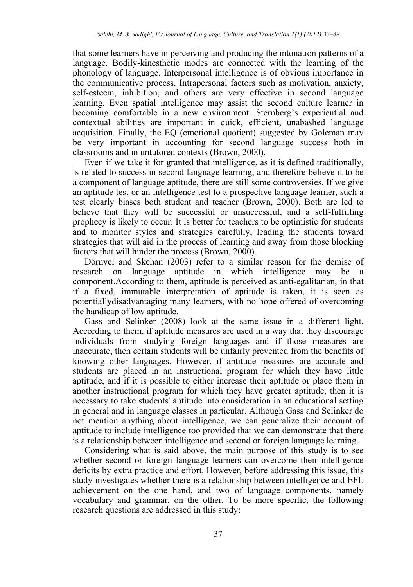that some learners have in perceiving and producing the intonation patterns of a language. Bodily-kinesthetic modes are connected with the learning of the phonology of language. Interpersonal intelligence is of obvious importance in the communicative process. Intrapersonal factors such as motivation, anxiety, self-esteem, inhibition, and others are very effective in second language learning. Even spatial intelligence may assist the second culture learner in becoming comfortable in a new environment. Sternberg's experiential and contextual abilities are important in quick, efficient, unabashed language acquisition. Finally, the EQ (emotional quotient) suggested by Goleman may be very important in accounting for second language success both in classrooms and in untutored contexts (Brown, 2000).

Even if we take it for granted that intelligence, as it is defined traditionally, is related to success in second language learning, and therefore believe it to be a component of language aptitude, there are still some controversies. If we give an aptitude test or an intelligence test to a prospective language learner, such a test clearly biases both student and teacher (Brown, 2000). Both are led to believe that they will be successful or unsuccessful, and a self-fulfilling prophecy is likely to occur. It is better for teachers to be optimistic for students and to monitor styles and strategies carefully, leading the students toward strategies that will aid in the process of learning and away from those blocking factors that will hinder the process (Brown, 2000).

Dörnyei and Skehan (2003) refer to a similar reason for the demise of research on language aptitude in which intelligence may be a component.According to them, aptitude is perceived as anti-egalitarian, in that if a fixed, immutable interpretation of aptitude is taken, it is seen as potentiallydisadvantaging many learners, with no hope offered of overcoming the handicap of low aptitude.

Gass and Selinker (2008) look at the same issue in a different light. According to them, if aptitude measures are used in a way that they discourage individuals from studying foreign languages and if those measures are inaccurate, then certain students will be unfairly prevented from the benefits of knowing other languages. However, if aptitude measures are accurate and students are placed in an instructional program for which they have little aptitude, and if it is possible to either increase their aptitude or place them in another instructional program for which they have greater aptitude, then it is necessary to take students' aptitude into consideration in an educational setting in general and in language classes in particular. Although Gass and Selinker do not mention anything about intelligence, we can generalize their account of aptitude to include intelligence too provided that we can demonstrate that there is a relationship between intelligence and second or foreign language learning.

Considering what is said above, the main purpose of this study is to see whether second or foreign language learners can overcome their intelligence deficits by extra practice and effort. However, before addressing this issue, this study investigates whether there is a relationship between intelligence and EFL achievement on the one hand, and two of language components, namely vocabulary and grammar, on the other. To be more specific, the following research questions are addressed in this study: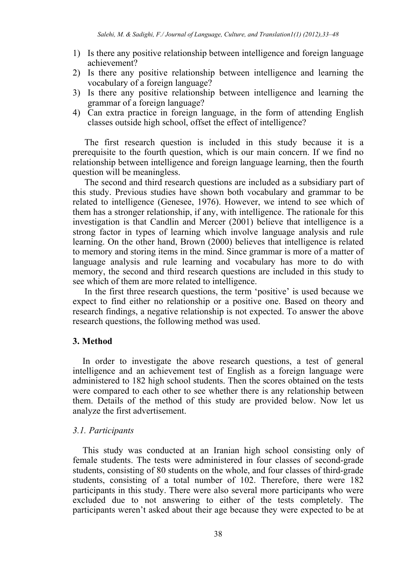- 1) Is there any positive relationship between intelligence and foreign language achievement?
- 2) Is there any positive relationship between intelligence and learning the vocabulary of a foreign language?
- 3) Is there any positive relationship between intelligence and learning the grammar of a foreign language?
- 4) Can extra practice in foreign language, in the form of attending English classes outside high school, offset the effect of intelligence?

The first research question is included in this study because it is a prerequisite to the fourth question, which is our main concern. If we find no relationship between intelligence and foreign language learning, then the fourth question will be meaningless.

The second and third research questions are included as a subsidiary part of this study. Previous studies have shown both vocabulary and grammar to be related to intelligence (Genesee, 1976). However, we intend to see which of them has a stronger relationship, if any, with intelligence. The rationale for this investigation is that Candlin and Mercer (2001) believe that intelligence is a strong factor in types of learning which involve language analysis and rule learning. On the other hand, Brown (2000) believes that intelligence is related to memory and storing items in the mind. Since grammar is more of a matter of language analysis and rule learning and vocabulary has more to do with memory, the second and third research questions are included in this study to see which of them are more related to intelligence.

In the first three research questions, the term 'positive' is used because we expect to find either no relationship or a positive one. Based on theory and research findings, a negative relationship is not expected. To answer the above research questions, the following method was used.

## **3. Method**

In order to investigate the above research questions, a test of general intelligence and an achievement test of English as a foreign language were administered to 182 high school students. Then the scores obtained on the tests were compared to each other to see whether there is any relationship between them. Details of the method of this study are provided below. Now let us analyze the first advertisement.

#### *3.1. Participants*

This study was conducted at an Iranian high school consisting only of female students. The tests were administered in four classes of second-grade students, consisting of 80 students on the whole, and four classes of third-grade students, consisting of a total number of 102. Therefore, there were 182 participants in this study. There were also several more participants who were excluded due to not answering to either of the tests completely. The participants weren't asked about their age because they were expected to be at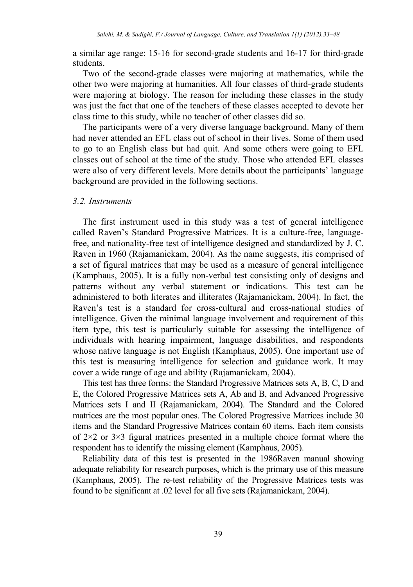a similar age range: 15-16 for second-grade students and 16-17 for third-grade students.

Two of the second-grade classes were majoring at mathematics, while the other two were majoring at humanities. All four classes of third-grade students were majoring at biology. The reason for including these classes in the study was just the fact that one of the teachers of these classes accepted to devote her class time to this study, while no teacher of other classes did so.

The participants were of a very diverse language background. Many of them had never attended an EFL class out of school in their lives. Some of them used to go to an English class but had quit. And some others were going to EFL classes out of school at the time of the study. Those who attended EFL classes were also of very different levels. More details about the participants' language background are provided in the following sections.

#### *3.2. Instruments*

The first instrument used in this study was a test of general intelligence called Raven's Standard Progressive Matrices. It is a culture-free, languagefree, and nationality-free test of intelligence designed and standardized by J. C. Raven in 1960 (Rajamanickam, 2004). As the name suggests, itis comprised of a set of figural matrices that may be used as a measure of general intelligence (Kamphaus, 2005). It is a fully non-verbal test consisting only of designs and patterns without any verbal statement or indications. This test can be administered to both literates and illiterates (Rajamanickam, 2004). In fact, the Raven's test is a standard for cross-cultural and cross-national studies of intelligence. Given the minimal language involvement and requirement of this item type, this test is particularly suitable for assessing the intelligence of individuals with hearing impairment, language disabilities, and respondents whose native language is not English (Kamphaus, 2005). One important use of this test is measuring intelligence for selection and guidance work. It may cover a wide range of age and ability (Rajamanickam, 2004).

This test has three forms: the Standard Progressive Matrices sets A, B, C, D and E, the Colored Progressive Matrices sets A, Ab and B, and Advanced Progressive Matrices sets I and II (Rajamanickam, 2004). The Standard and the Colored matrices are the most popular ones. The Colored Progressive Matrices include 30 items and the Standard Progressive Matrices contain 60 items. Each item consists of 2×2 or 3×3 figural matrices presented in a multiple choice format where the respondent has to identify the missing element (Kamphaus, 2005).

Reliability data of this test is presented in the 1986Raven manual showing adequate reliability for research purposes, which is the primary use of this measure (Kamphaus, 2005). The re-test reliability of the Progressive Matrices tests was found to be significant at .02 level for all five sets (Rajamanickam, 2004).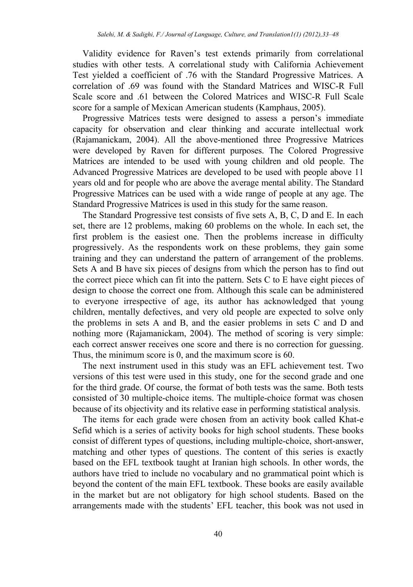Validity evidence for Raven's test extends primarily from correlational studies with other tests. A correlational study with California Achievement Test yielded a coefficient of .76 with the Standard Progressive Matrices. A correlation of .69 was found with the Standard Matrices and WISC-R Full Scale score and .61 between the Colored Matrices and WISC-R Full Scale score for a sample of Mexican American students (Kamphaus, 2005).

Progressive Matrices tests were designed to assess a person's immediate capacity for observation and clear thinking and accurate intellectual work (Rajamanickam, 2004). All the above-mentioned three Progressive Matrices were developed by Raven for different purposes. The Colored Progressive Matrices are intended to be used with young children and old people. The Advanced Progressive Matrices are developed to be used with people above 11 years old and for people who are above the average mental ability. The Standard Progressive Matrices can be used with a wide range of people at any age. The Standard Progressive Matrices is used in this study for the same reason.

The Standard Progressive test consists of five sets A, B, C, D and E. In each set, there are 12 problems, making 60 problems on the whole. In each set, the first problem is the easiest one. Then the problems increase in difficulty progressively. As the respondents work on these problems, they gain some training and they can understand the pattern of arrangement of the problems. Sets A and B have six pieces of designs from which the person has to find out the correct piece which can fit into the pattern. Sets C to E have eight pieces of design to choose the correct one from. Although this scale can be administered to everyone irrespective of age, its author has acknowledged that young children, mentally defectives, and very old people are expected to solve only the problems in sets A and B, and the easier problems in sets C and D and nothing more (Rajamanickam, 2004). The method of scoring is very simple: each correct answer receives one score and there is no correction for guessing. Thus, the minimum score is 0, and the maximum score is 60.

The next instrument used in this study was an EFL achievement test. Two versions of this test were used in this study, one for the second grade and one for the third grade. Of course, the format of both tests was the same. Both tests consisted of 30 multiple-choice items. The multiple-choice format was chosen because of its objectivity and its relative ease in performing statistical analysis.

The items for each grade were chosen from an activity book called Khat-e Sefid which is a series of activity books for high school students. These books consist of different types of questions, including multiple-choice, short-answer, matching and other types of questions. The content of this series is exactly based on the EFL textbook taught at Iranian high schools. In other words, the authors have tried to include no vocabulary and no grammatical point which is beyond the content of the main EFL textbook. These books are easily available in the market but are not obligatory for high school students. Based on the arrangements made with the students' EFL teacher, this book was not used in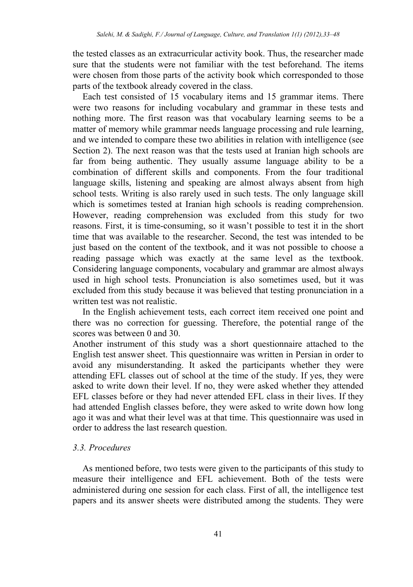the tested classes as an extracurricular activity book. Thus, the researcher made sure that the students were not familiar with the test beforehand. The items were chosen from those parts of the activity book which corresponded to those parts of the textbook already covered in the class.

Each test consisted of 15 vocabulary items and 15 grammar items. There were two reasons for including vocabulary and grammar in these tests and nothing more. The first reason was that vocabulary learning seems to be a matter of memory while grammar needs language processing and rule learning, and we intended to compare these two abilities in relation with intelligence (see Section 2). The next reason was that the tests used at Iranian high schools are far from being authentic. They usually assume language ability to be a combination of different skills and components. From the four traditional language skills, listening and speaking are almost always absent from high school tests. Writing is also rarely used in such tests. The only language skill which is sometimes tested at Iranian high schools is reading comprehension. However, reading comprehension was excluded from this study for two reasons. First, it is time-consuming, so it wasn't possible to test it in the short time that was available to the researcher. Second, the test was intended to be just based on the content of the textbook, and it was not possible to choose a reading passage which was exactly at the same level as the textbook. Considering language components, vocabulary and grammar are almost always used in high school tests. Pronunciation is also sometimes used, but it was excluded from this study because it was believed that testing pronunciation in a written test was not realistic.

In the English achievement tests, each correct item received one point and there was no correction for guessing. Therefore, the potential range of the scores was between 0 and 30.

Another instrument of this study was a short questionnaire attached to the English test answer sheet. This questionnaire was written in Persian in order to avoid any misunderstanding. It asked the participants whether they were attending EFL classes out of school at the time of the study. If yes, they were asked to write down their level. If no, they were asked whether they attended EFL classes before or they had never attended EFL class in their lives. If they had attended English classes before, they were asked to write down how long ago it was and what their level was at that time. This questionnaire was used in order to address the last research question.

## *3.3. Procedures*

As mentioned before, two tests were given to the participants of this study to measure their intelligence and EFL achievement. Both of the tests were administered during one session for each class. First of all, the intelligence test papers and its answer sheets were distributed among the students. They were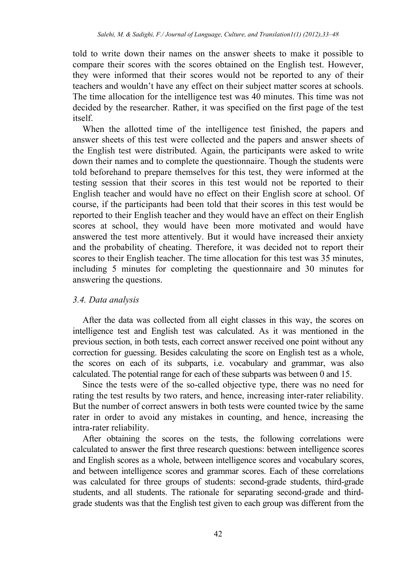told to write down their names on the answer sheets to make it possible to compare their scores with the scores obtained on the English test. However, they were informed that their scores would not be reported to any of their teachers and wouldn't have any effect on their subject matter scores at schools. The time allocation for the intelligence test was 40 minutes. This time was not decided by the researcher. Rather, it was specified on the first page of the test itself.

When the allotted time of the intelligence test finished, the papers and answer sheets of this test were collected and the papers and answer sheets of the English test were distributed. Again, the participants were asked to write down their names and to complete the questionnaire. Though the students were told beforehand to prepare themselves for this test, they were informed at the testing session that their scores in this test would not be reported to their English teacher and would have no effect on their English score at school. Of course, if the participants had been told that their scores in this test would be reported to their English teacher and they would have an effect on their English scores at school, they would have been more motivated and would have answered the test more attentively. But it would have increased their anxiety and the probability of cheating. Therefore, it was decided not to report their scores to their English teacher. The time allocation for this test was 35 minutes, including 5 minutes for completing the questionnaire and 30 minutes for answering the questions.

## *3.4. Data analysis*

After the data was collected from all eight classes in this way, the scores on intelligence test and English test was calculated. As it was mentioned in the previous section, in both tests, each correct answer received one point without any correction for guessing. Besides calculating the score on English test as a whole, the scores on each of its subparts, i.e. vocabulary and grammar, was also calculated. The potential range for each of these subparts was between 0 and 15.

Since the tests were of the so-called objective type, there was no need for rating the test results by two raters, and hence, increasing inter-rater reliability. But the number of correct answers in both tests were counted twice by the same rater in order to avoid any mistakes in counting, and hence, increasing the intra-rater reliability.

After obtaining the scores on the tests, the following correlations were calculated to answer the first three research questions: between intelligence scores and English scores as a whole, between intelligence scores and vocabulary scores, and between intelligence scores and grammar scores. Each of these correlations was calculated for three groups of students: second-grade students, third-grade students, and all students. The rationale for separating second-grade and thirdgrade students was that the English test given to each group was different from the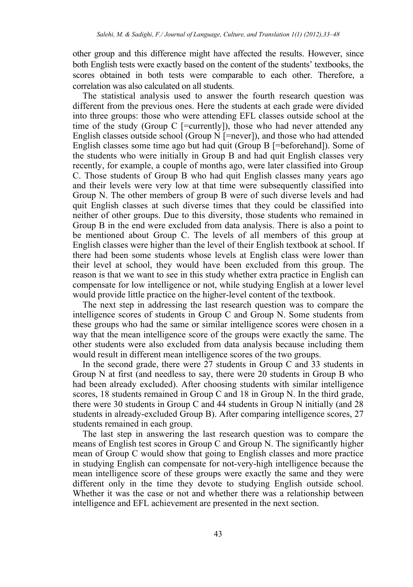other group and this difference might have affected the results. However, since both English tests were exactly based on the content of the students' textbooks, the scores obtained in both tests were comparable to each other. Therefore, a correlation was also calculated on all students.

The statistical analysis used to answer the fourth research question was different from the previous ones. Here the students at each grade were divided into three groups: those who were attending EFL classes outside school at the time of the study (Group C  $[=$ currently]), those who had never attended any English classes outside school (Group  $\overline{N}$  [=never]), and those who had attended English classes some time ago but had quit (Group B [=beforehand]). Some of the students who were initially in Group B and had quit English classes very recently, for example, a couple of months ago, were later classified into Group C. Those students of Group B who had quit English classes many years ago and their levels were very low at that time were subsequently classified into Group N. The other members of group B were of such diverse levels and had quit English classes at such diverse times that they could be classified into neither of other groups. Due to this diversity, those students who remained in Group B in the end were excluded from data analysis. There is also a point to be mentioned about Group C. The levels of all members of this group at English classes were higher than the level of their English textbook at school. If there had been some students whose levels at English class were lower than their level at school, they would have been excluded from this group. The reason is that we want to see in this study whether extra practice in English can compensate for low intelligence or not, while studying English at a lower level would provide little practice on the higher-level content of the textbook.

The next step in addressing the last research question was to compare the intelligence scores of students in Group C and Group N. Some students from these groups who had the same or similar intelligence scores were chosen in a way that the mean intelligence score of the groups were exactly the same. The other students were also excluded from data analysis because including them would result in different mean intelligence scores of the two groups.

In the second grade, there were 27 students in Group C and 33 students in Group N at first (and needless to say, there were 20 students in Group B who had been already excluded). After choosing students with similar intelligence scores, 18 students remained in Group C and 18 in Group N. In the third grade, there were 30 students in Group C and 44 students in Group N initially (and 28 students in already-excluded Group B). After comparing intelligence scores, 27 students remained in each group.

The last step in answering the last research question was to compare the means of English test scores in Group C and Group N. The significantly higher mean of Group C would show that going to English classes and more practice in studying English can compensate for not-very-high intelligence because the mean intelligence score of these groups were exactly the same and they were different only in the time they devote to studying English outside school. Whether it was the case or not and whether there was a relationship between intelligence and EFL achievement are presented in the next section.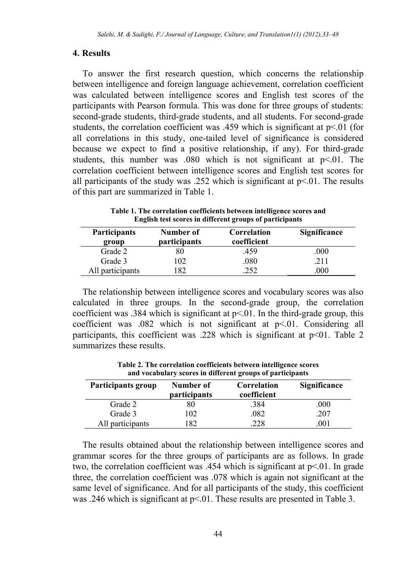## **4. Results**

To answer the first research question, which concerns the relationship between intelligence and foreign language achievement, correlation coefficient was calculated between intelligence scores and English test scores of the participants with Pearson formula. This was done for three groups of students: second-grade students, third-grade students, and all students. For second-grade students, the correlation coefficient was .459 which is significant at  $p<01$  (for all correlations in this study, one-tailed level of significance is considered because we expect to find a positive relationship, if any). For third-grade students, this number was .080 which is not significant at  $p<0.01$ . The correlation coefficient between intelligence scores and English test scores for all participants of the study was  $.252$  which is significant at  $p<0.01$ . The results of this part are summarized in Table 1.

**Table 1. The correlation coefficients between intelligence scores and English test scores in different groups of participants** 

| <b>Participants</b><br>group | Number of<br><i>participants</i> | Correlation<br>coefficient | Significance |  |
|------------------------------|----------------------------------|----------------------------|--------------|--|
| Grade 2                      | 80                               | .459                       | .000         |  |
| Grade 3                      | .02                              | .080                       | 211          |  |
| All participants             | 82                               | 252                        | .000         |  |

The relationship between intelligence scores and vocabulary scores was also calculated in three groups. In the second-grade group, the correlation coefficient was .384 which is significant at  $p \le 0.01$ . In the third-grade group, this coefficient was  $.082$  which is not significant at  $p \le 01$ . Considering all participants, this coefficient was .228 which is significant at p<01. Table 2 summarizes these results.

| Participants group | Number of<br>participants | Correlation<br>coefficient | Significance |  |
|--------------------|---------------------------|----------------------------|--------------|--|
| Grade 2            | 80                        | .384                       | .000         |  |
| Grade 3            | 102                       | .082                       | .207         |  |
| All participants   | 182                       | 228                        | 001          |  |

**Table 2. The correlation coefficients between intelligence scores and vocabulary scores in different groups of participants** 

The results obtained about the relationship between intelligence scores and grammar scores for the three groups of participants are as follows. In grade two, the correlation coefficient was .454 which is significant at  $p<01$ . In grade three, the correlation coefficient was .078 which is again not significant at the same level of significance. And for all participants of the study, this coefficient was .246 which is significant at  $p<01$ . These results are presented in Table 3.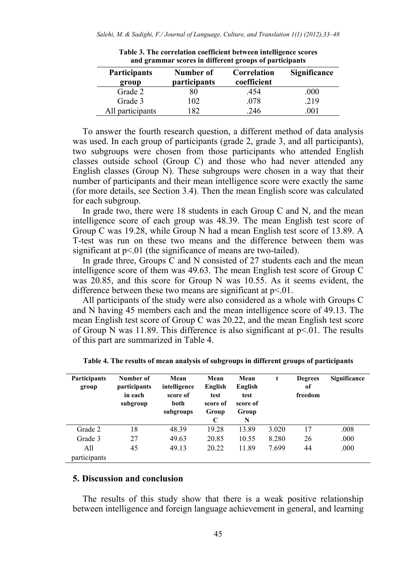| and grammar scores in anici che groups or participants |                                  |                            |                     |  |
|--------------------------------------------------------|----------------------------------|----------------------------|---------------------|--|
| <b>Participants</b><br>group                           | Number of<br><i>participants</i> | Correlation<br>coefficient | <b>Significance</b> |  |
| Grade 2                                                | 30                               | .454                       | .000                |  |
| Grade 3                                                | 102                              | .078                       | .219                |  |
| All participants                                       | 82                               | 246                        | 001                 |  |

**Table 3. The correlation coefficient between intelligence scores and grammar scores in different groups of participants** 

To answer the fourth research question, a different method of data analysis was used. In each group of participants (grade 2, grade 3, and all participants), two subgroups were chosen from those participants who attended English classes outside school (Group C) and those who had never attended any English classes (Group N). These subgroups were chosen in a way that their number of participants and their mean intelligence score were exactly the same (for more details, see Section 3.4). Then the mean English score was calculated for each subgroup.

In grade two, there were 18 students in each Group C and N, and the mean intelligence score of each group was 48.39. The mean English test score of Group C was 19.28, while Group N had a mean English test score of 13.89. A T-test was run on these two means and the difference between them was significant at  $p<01$  (the significance of means are two-tailed).

In grade three, Groups C and N consisted of 27 students each and the mean intelligence score of them was 49.63. The mean English test score of Group C was 20.85, and this score for Group N was 10.55. As it seems evident, the difference between these two means are significant at  $p<01$ .

All participants of the study were also considered as a whole with Groups C and N having 45 members each and the mean intelligence score of 49.13. The mean English test score of Group C was 20.22, and the mean English test score of Group N was 11.89. This difference is also significant at  $p<01$ . The results of this part are summarized in Table 4.

| Participants<br>group | Number of<br>participants<br>in each<br>subgroup | Mean<br>intelligence<br>score of<br>both<br>subgroups | Mean<br>English<br>test<br>score of<br>Group<br>C | Mean<br>English<br>test<br>score of<br>Group<br>N | t     | <b>Degrees</b><br>of<br>freedom | Significance |
|-----------------------|--------------------------------------------------|-------------------------------------------------------|---------------------------------------------------|---------------------------------------------------|-------|---------------------------------|--------------|
| Grade 2               | 18                                               | 48.39                                                 | 19.28                                             | 13.89                                             | 3.020 | 17                              | .008         |
| Grade 3               | 27                                               | 49.63                                                 | 20.85                                             | 10.55                                             | 8.280 | 26                              | .000         |
| A11                   | 45                                               | 49.13                                                 | 20.22                                             | 11.89                                             | 7.699 | 44                              | .000         |
| participants          |                                                  |                                                       |                                                   |                                                   |       |                                 |              |

**Table 4. The results of mean analysis of subgroups in different groups of participants** 

## **5. Discussion and conclusion**

The results of this study show that there is a weak positive relationship between intelligence and foreign language achievement in general, and learning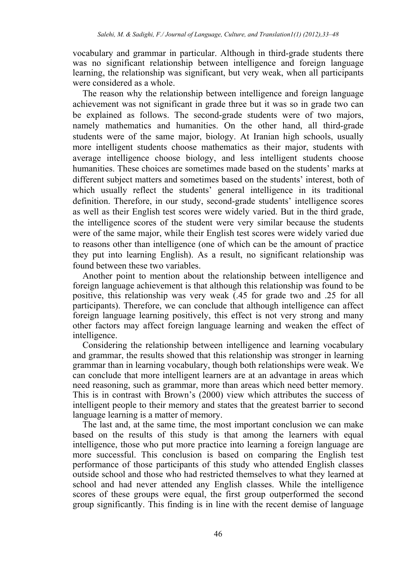vocabulary and grammar in particular. Although in third-grade students there was no significant relationship between intelligence and foreign language learning, the relationship was significant, but very weak, when all participants were considered as a whole.

The reason why the relationship between intelligence and foreign language achievement was not significant in grade three but it was so in grade two can be explained as follows. The second-grade students were of two majors, namely mathematics and humanities. On the other hand, all third-grade students were of the same major, biology. At Iranian high schools, usually more intelligent students choose mathematics as their major, students with average intelligence choose biology, and less intelligent students choose humanities. These choices are sometimes made based on the students' marks at different subject matters and sometimes based on the students' interest, both of which usually reflect the students' general intelligence in its traditional definition. Therefore, in our study, second-grade students' intelligence scores as well as their English test scores were widely varied. But in the third grade, the intelligence scores of the student were very similar because the students were of the same major, while their English test scores were widely varied due to reasons other than intelligence (one of which can be the amount of practice they put into learning English). As a result, no significant relationship was found between these two variables.

Another point to mention about the relationship between intelligence and foreign language achievement is that although this relationship was found to be positive, this relationship was very weak (.45 for grade two and .25 for all participants). Therefore, we can conclude that although intelligence can affect foreign language learning positively, this effect is not very strong and many other factors may affect foreign language learning and weaken the effect of intelligence.

Considering the relationship between intelligence and learning vocabulary and grammar, the results showed that this relationship was stronger in learning grammar than in learning vocabulary, though both relationships were weak. We can conclude that more intelligent learners are at an advantage in areas which need reasoning, such as grammar, more than areas which need better memory. This is in contrast with Brown's (2000) view which attributes the success of intelligent people to their memory and states that the greatest barrier to second language learning is a matter of memory.

The last and, at the same time, the most important conclusion we can make based on the results of this study is that among the learners with equal intelligence, those who put more practice into learning a foreign language are more successful. This conclusion is based on comparing the English test performance of those participants of this study who attended English classes outside school and those who had restricted themselves to what they learned at school and had never attended any English classes. While the intelligence scores of these groups were equal, the first group outperformed the second group significantly. This finding is in line with the recent demise of language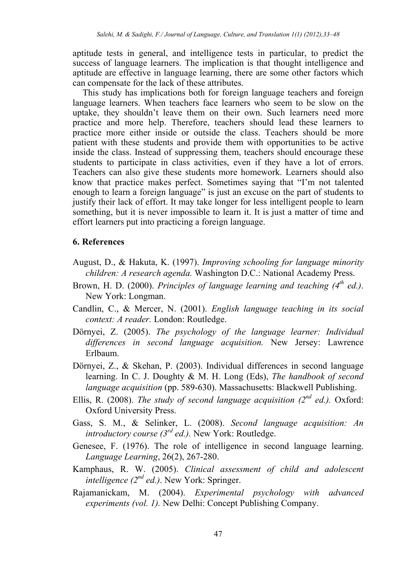aptitude tests in general, and intelligence tests in particular, to predict the success of language learners. The implication is that thought intelligence and aptitude are effective in language learning, there are some other factors which can compensate for the lack of these attributes.

This study has implications both for foreign language teachers and foreign language learners. When teachers face learners who seem to be slow on the uptake, they shouldn't leave them on their own. Such learners need more practice and more help. Therefore, teachers should lead these learners to practice more either inside or outside the class. Teachers should be more patient with these students and provide them with opportunities to be active inside the class. Instead of suppressing them, teachers should encourage these students to participate in class activities, even if they have a lot of errors. Teachers can also give these students more homework. Learners should also know that practice makes perfect. Sometimes saying that "I'm not talented enough to learn a foreign language" is just an excuse on the part of students to justify their lack of effort. It may take longer for less intelligent people to learn something, but it is never impossible to learn it. It is just a matter of time and effort learners put into practicing a foreign language.

## **6. References**

- August, D., & Hakuta, K. (1997). *Improving schooling for language minority children: A research agenda.* Washington D.C.: National Academy Press.
- Brown, H. D. (2000). *Principles of language learning and teaching (4<sup>th</sup> ed.)*. New York: Longman.
- Candlin, C., & Mercer, N. (2001). *English language teaching in its social context: A reader.* London: Routledge.
- Dörnyei, Z. (2005). *The psychology of the language learner: Individual differences in second language acquisition.* New Jersey: Lawrence Erlbaum.
- Dörnyei, Z., & Skehan, P. (2003). Individual differences in second language learning. In C. J. Doughty & M. H. Long (Eds), *The handbook of second language acquisition* (pp. 589-630). Massachusetts: Blackwell Publishing.
- Ellis, R. (2008). *The study of second language acquisition (* $2^{nd}$  *ed.).* Oxford: Oxford University Press.
- Gass, S. M., & Selinker, L. (2008). *Second language acquisition: An introductory course (3rd ed.).* New York: Routledge.
- Genesee, F. (1976). The role of intelligence in second language learning. *Language Learning*, 26(2), 267-280.
- Kamphaus, R. W. (2005). *Clinical assessment of child and adolescent intelligence (2nd ed.)*. New York: Springer.
- Rajamanickam, M. (2004). *Experimental psychology with advanced experiments (vol. 1).* New Delhi: Concept Publishing Company.